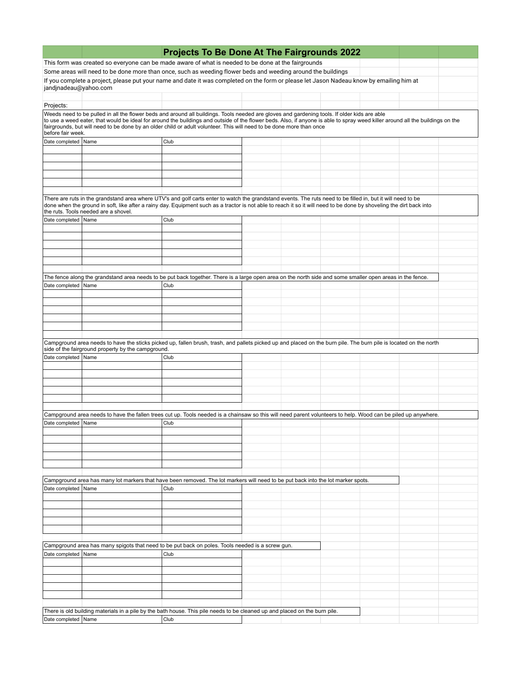|                       |                                                    | Projects To Be Done At The Fairgrounds 2022                                                                                                                                                                                                                                                                                                                                                                                                            |  |  |  |
|-----------------------|----------------------------------------------------|--------------------------------------------------------------------------------------------------------------------------------------------------------------------------------------------------------------------------------------------------------------------------------------------------------------------------------------------------------------------------------------------------------------------------------------------------------|--|--|--|
|                       |                                                    | This form was created so everyone can be made aware of what is needed to be done at the fairgrounds                                                                                                                                                                                                                                                                                                                                                    |  |  |  |
|                       |                                                    | Some areas will need to be done more than once, such as weeding flower beds and weeding around the buildings                                                                                                                                                                                                                                                                                                                                           |  |  |  |
| jandjnadeau@yahoo.com |                                                    | If you complete a project, please put your name and date it was completed on the form or please let Jason Nadeau know by emailing him at                                                                                                                                                                                                                                                                                                               |  |  |  |
| Projects:             |                                                    |                                                                                                                                                                                                                                                                                                                                                                                                                                                        |  |  |  |
| before fair week.     |                                                    | Weeds need to be pulled in all the flower beds and around all buildings. Tools needed are gloves and gardening tools. If older kids are able<br>to use a weed eater, that would be ideal for around the buildings and outside of the flower beds. Also, if anyone is able to spray weed killer around all the buildings on the<br>fairgrounds, but will need to be done by an older child or adult volunteer. This will need to be done more than once |  |  |  |
| Date completed   Name |                                                    | Club                                                                                                                                                                                                                                                                                                                                                                                                                                                   |  |  |  |
|                       |                                                    |                                                                                                                                                                                                                                                                                                                                                                                                                                                        |  |  |  |
|                       |                                                    |                                                                                                                                                                                                                                                                                                                                                                                                                                                        |  |  |  |
|                       |                                                    |                                                                                                                                                                                                                                                                                                                                                                                                                                                        |  |  |  |
|                       |                                                    |                                                                                                                                                                                                                                                                                                                                                                                                                                                        |  |  |  |
|                       |                                                    |                                                                                                                                                                                                                                                                                                                                                                                                                                                        |  |  |  |
|                       | the ruts. Tools needed are a shovel.               | There are ruts in the grandstand area where UTV's and golf carts enter to watch the grandstand events. The ruts need to be filled in, but it will need to be<br>done when the ground in soft, like after a rainy day. Equipment such as a tractor is not able to reach it so it will need to be done by shoveling the dirt back into                                                                                                                   |  |  |  |
| Date completed Name   |                                                    | Club                                                                                                                                                                                                                                                                                                                                                                                                                                                   |  |  |  |
|                       |                                                    |                                                                                                                                                                                                                                                                                                                                                                                                                                                        |  |  |  |
|                       |                                                    |                                                                                                                                                                                                                                                                                                                                                                                                                                                        |  |  |  |
|                       |                                                    |                                                                                                                                                                                                                                                                                                                                                                                                                                                        |  |  |  |
|                       |                                                    |                                                                                                                                                                                                                                                                                                                                                                                                                                                        |  |  |  |
|                       |                                                    |                                                                                                                                                                                                                                                                                                                                                                                                                                                        |  |  |  |
|                       |                                                    | The fence along the grandstand area needs to be put back together. There is a large open area on the north side and some smaller open areas in the fence.                                                                                                                                                                                                                                                                                              |  |  |  |
| Date completed   Name |                                                    | Club                                                                                                                                                                                                                                                                                                                                                                                                                                                   |  |  |  |
|                       |                                                    |                                                                                                                                                                                                                                                                                                                                                                                                                                                        |  |  |  |
|                       |                                                    |                                                                                                                                                                                                                                                                                                                                                                                                                                                        |  |  |  |
|                       |                                                    |                                                                                                                                                                                                                                                                                                                                                                                                                                                        |  |  |  |
|                       |                                                    |                                                                                                                                                                                                                                                                                                                                                                                                                                                        |  |  |  |
|                       |                                                    |                                                                                                                                                                                                                                                                                                                                                                                                                                                        |  |  |  |
|                       | side of the fairground property by the campground. | Campground area needs to have the sticks picked up, fallen brush, trash, and pallets picked up and placed on the burn pile. The burn pile is located on the north                                                                                                                                                                                                                                                                                      |  |  |  |
| Date completed Name   |                                                    | Club                                                                                                                                                                                                                                                                                                                                                                                                                                                   |  |  |  |
|                       |                                                    |                                                                                                                                                                                                                                                                                                                                                                                                                                                        |  |  |  |
|                       |                                                    |                                                                                                                                                                                                                                                                                                                                                                                                                                                        |  |  |  |
|                       |                                                    |                                                                                                                                                                                                                                                                                                                                                                                                                                                        |  |  |  |
|                       |                                                    |                                                                                                                                                                                                                                                                                                                                                                                                                                                        |  |  |  |
|                       |                                                    |                                                                                                                                                                                                                                                                                                                                                                                                                                                        |  |  |  |
|                       |                                                    | Campground area needs to have the fallen trees cut up. Tools needed is a chainsaw so this will need parent volunteers to help. Wood can be piled up anywhere.                                                                                                                                                                                                                                                                                          |  |  |  |
| Date completed Name   |                                                    | Club                                                                                                                                                                                                                                                                                                                                                                                                                                                   |  |  |  |
|                       |                                                    |                                                                                                                                                                                                                                                                                                                                                                                                                                                        |  |  |  |
|                       |                                                    |                                                                                                                                                                                                                                                                                                                                                                                                                                                        |  |  |  |
|                       |                                                    |                                                                                                                                                                                                                                                                                                                                                                                                                                                        |  |  |  |
|                       |                                                    |                                                                                                                                                                                                                                                                                                                                                                                                                                                        |  |  |  |
|                       |                                                    | Campground area has many lot markers that have been removed. The lot markers will need to be put back into the lot marker spots.                                                                                                                                                                                                                                                                                                                       |  |  |  |
| Date completed Name   |                                                    | Club                                                                                                                                                                                                                                                                                                                                                                                                                                                   |  |  |  |
|                       |                                                    |                                                                                                                                                                                                                                                                                                                                                                                                                                                        |  |  |  |
|                       |                                                    |                                                                                                                                                                                                                                                                                                                                                                                                                                                        |  |  |  |
|                       |                                                    |                                                                                                                                                                                                                                                                                                                                                                                                                                                        |  |  |  |
|                       |                                                    |                                                                                                                                                                                                                                                                                                                                                                                                                                                        |  |  |  |
|                       |                                                    |                                                                                                                                                                                                                                                                                                                                                                                                                                                        |  |  |  |
|                       |                                                    | Campground area has many spigots that need to be put back on poles. Tools needed is a screw gun.                                                                                                                                                                                                                                                                                                                                                       |  |  |  |
| Date completed Name   |                                                    | Club                                                                                                                                                                                                                                                                                                                                                                                                                                                   |  |  |  |
|                       |                                                    |                                                                                                                                                                                                                                                                                                                                                                                                                                                        |  |  |  |
|                       |                                                    |                                                                                                                                                                                                                                                                                                                                                                                                                                                        |  |  |  |
|                       |                                                    |                                                                                                                                                                                                                                                                                                                                                                                                                                                        |  |  |  |
|                       |                                                    |                                                                                                                                                                                                                                                                                                                                                                                                                                                        |  |  |  |
|                       |                                                    |                                                                                                                                                                                                                                                                                                                                                                                                                                                        |  |  |  |
|                       |                                                    | There is old building materials in a pile by the bath house. This pile needs to be cleaned up and placed on the burn pile.                                                                                                                                                                                                                                                                                                                             |  |  |  |
| Date completed Name   |                                                    | Club                                                                                                                                                                                                                                                                                                                                                                                                                                                   |  |  |  |